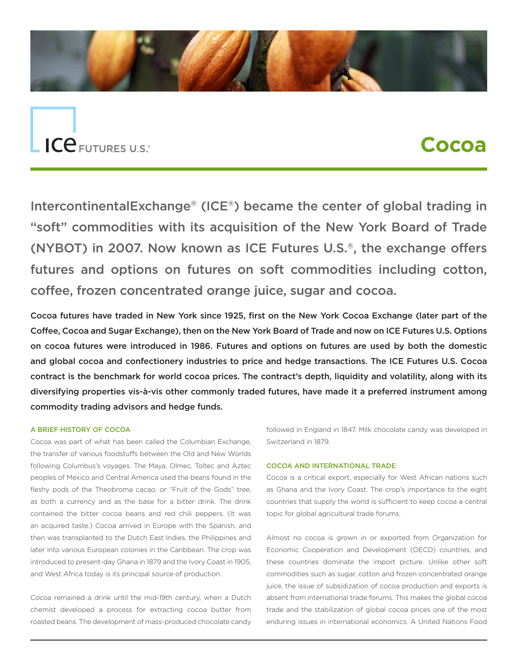

# ICE FUTURES U.S.

# **Cocoa**

IntercontinentalExchange® (ICE®) became the center of global trading in "soft" commodities with its acquisition of the New York Board of Trade (NYBOT) in 2007. Now known as ICE Futures U.S.®, the exchange offers futures and options on futures on soft commodities including cotton, coffee, frozen concentrated orange juice, sugar and cocoa.

Cocoa futures have traded in New York since 1925, first on the New York Cocoa Exchange (later part of the Coffee, Cocoa and Sugar Exchange), then on the New York Board of Trade and now on ICE Futures U.S. Options on cocoa futures were introduced in 1986. Futures and options on futures are used by both the domestic and global cocoa and confectionery industries to price and hedge transactions. The ICE Futures U.S. Cocoa contract is the benchmark for world cocoa prices. The contract's depth, liquidity and volatility, along with its diversifying properties vis-à-vis other commonly traded futures, have made it a preferred instrument among commodity trading advisors and hedge funds.

#### A BRIEF HISTORY OF COCOA

Cocoa was part of what has been called the Columbian Exchange, the transfer of various foodstuffs between the Old and New Worlds following Columbus's voyages. The Maya, Olmec, Toltec and Aztec peoples of Mexico and Central America used the beans found in the fleshy pods of the Theobroma cacao, or "Fruit of the Gods" tree, as both a currency and as the base for a bitter drink. The drink contained the bitter cocoa beans and red chili peppers. (It was an acquired taste.) Cocoa arrived in Europe with the Spanish, and then was transplanted to the Dutch East Indies, the Philippines and later into various European colonies in the Caribbean. The crop was introduced to present-day Ghana in 1879 and the Ivory Coast in 1905, and West Africa today is its principal source of production.

Cocoa remained a drink until the mid-19th century, when a Dutch chemist developed a process for extracting cocoa butter from roasted beans. The development of mass-produced chocolate candy

followed in England in 1847. Milk chocolate candy was developed in Switzerland in 1879.

#### COCOA AND INTERNATIONAL TRADE

Cocoa is a critical export, especially for West African nations such as Ghana and the Ivory Coast. The crop's importance to the eight countries that supply the world is sufficient to keep cocoa a central topic for global agricultural trade forums.

Almost no cocoa is grown in or exported from Organization for Economic Cooperation and Development (OECD) countries, and these countries dominate the import picture. Unlike other soft commodities such as sugar, cotton and frozen concentrated orange juice, the issue of subsidization of cocoa production and exports is absent from international trade forums. This makes the global cocoa trade and the stabilization of global cocoa prices one of the most enduring issues in international economics. A United Nations Food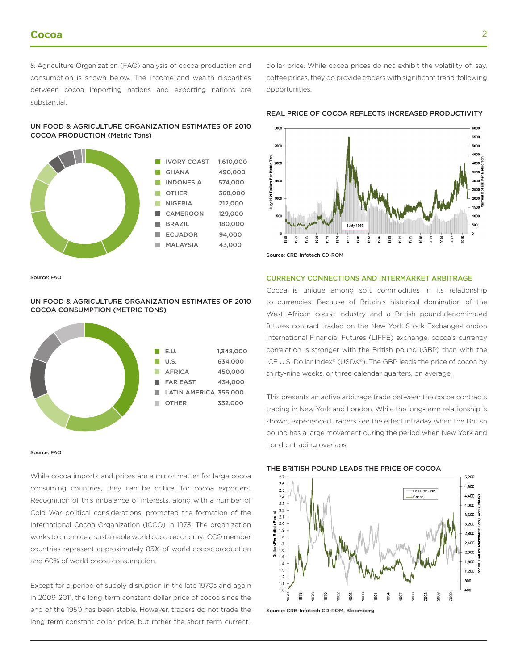& Agriculture Organization (FAO) analysis of cocoa production and consumption is shown below. The income and wealth disparities between cocoa importing nations and exporting nations are substantial.

UN FOOD & AGRICULTURE ORGANIZATION ESTIMATES OF 2010 COCOA PRODUCTION (Metric Tons)



coffee prices, they do provide traders with significant trend-following opportunities.

REAL PRICE OF COCOA REFLECTS INCREASED PRODUCTIVITY

dollar price. While cocoa prices do not exhibit the volatility of, say,



Source: FAO

UN FOOD & AGRICULTURE ORGANIZATION ESTIMATES OF 2010 COCOA CONSUMPTION (METRIC TONS)



#### Source: FAO

While cocoa imports and prices are a minor matter for large cocoa consuming countries, they can be critical for cocoa exporters. Recognition of this imbalance of interests, along with a number of Cold War political considerations, prompted the formation of the International Cocoa Organization (ICCO) in 1973. The organization works to promote a sustainable world cocoa economy. ICCO member countries represent approximately 85% of world cocoa production and 60% of world cocoa consumption.

Except for a period of supply disruption in the late 1970s and again in 2009-2011, the long-term constant dollar price of cocoa since the end of the 1950 has been stable. However, traders do not trade the long-term constant dollar price, but rather the short-term currentCURRENCY CONNECTIONS AND INTERMARKET ARBITRAGE

Cocoa is unique among soft commodities in its relationship to currencies. Because of Britain's historical domination of the West African cocoa industry and a British pound-denominated futures contract traded on the New York Stock Exchange-London International Financial Futures (LIFFE) exchange, cocoa's currency correlation is stronger with the British pound (GBP) than with the ICE U.S. Dollar Index® (USDX®). The GBP leads the price of cocoa by thirty-nine weeks, or three calendar quarters, on average.

This presents an active arbitrage trade between the cocoa contracts trading in New York and London. While the long-term relationship is shown, experienced traders see the effect intraday when the British pound has a large movement during the period when New York and London trading overlaps.

#### THE BRITISH POUND LEADS THE PRICE OF COCOA



Source: CRB-Infotech CD-ROM, Bloomberg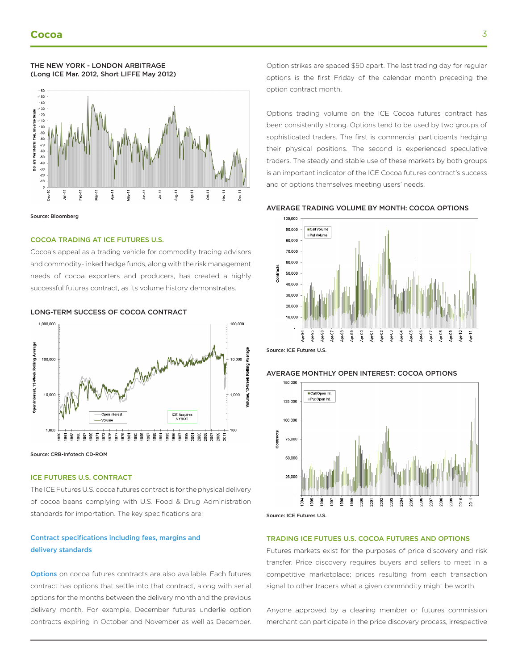

Source: Bloomberg

#### COCOA TRADING AT ICE FUTURES U.S.

THE NEW YORK - LONDON ARBITRAGE (Long ICE Mar. 2012, Short LIFFE May 2012)

Cocoa's appeal as a trading vehicle for commodity trading advisors and commodity-linked hedge funds, along with the risk management needs of cocoa exporters and producers, has created a highly successful futures contract, as its volume history demonstrates.



Source: CRB-Infotech CD-ROM

#### ICE FUTURES U.S. CONTRACT

The ICE Futures U.S. cocoa futures contract is for the physical delivery of cocoa beans complying with U.S. Food & Drug Administration standards for importation. The key specifications are:

### [Contract specifications including fees, margins and](https://www.theice.com/products/7) [delivery standards](https://www.theice.com/products/7)

**[Options](https://www.theice.com/products/8/specs)** on cocoa futures contracts are also available. Each futures contract has options that settle into that contract, along with serial options for the months between the delivery month and the previous delivery month. For example, December futures underlie option contracts expiring in October and November as well as December. Option strikes are spaced \$50 apart. The last trading day for regular options is the first Friday of the calendar month preceding the option contract month.

Options trading volume on the ICE Cocoa futures contract has been consistently strong. Options tend to be used by two groups of sophisticated traders. The first is commercial participants hedging their physical positions. The second is experienced speculative traders. The steady and stable use of these markets by both groups is an important indicator of the ICE Cocoa futures contract's success and of options themselves meeting users' needs.

#### AVERAGE TRADING VOLUME BY MONTH: COCOA OPTIONS



Source: ICE Futures U.S.

#### AVERAGE MONTHLY OPEN INTEREST: COCOA OPTIONS



Source: ICE Futures U.S.

#### TRADING ICE FUTUES U.S. COCOA FUTURES AND OPTIONS

Futures markets exist for the purposes of price discovery and risk transfer. Price discovery requires buyers and sellers to meet in a competitive marketplace; prices resulting from each transaction signal to other traders what a given commodity might be worth.

Anyone approved by a clearing member or futures commission merchant can participate in the price discovery process, irrespective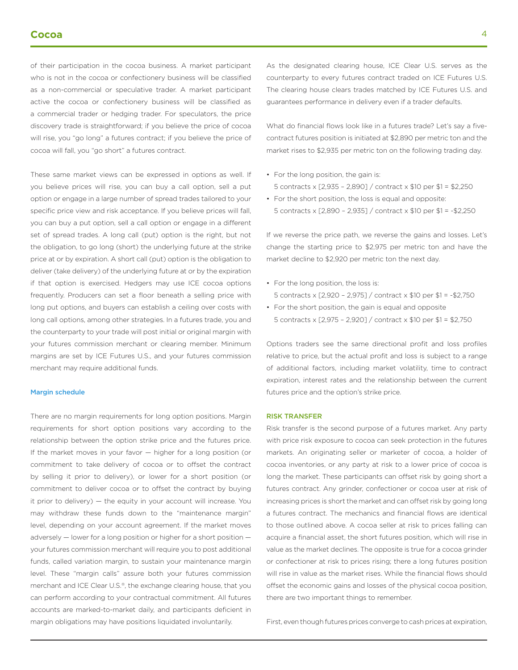of their participation in the cocoa business. A market participant who is not in the cocoa or confectionery business will be classified as a non-commercial or speculative trader. A market participant active the cocoa or confectionery business will be classified as a commercial trader or hedging trader. For speculators, the price discovery trade is straightforward; if you believe the price of cocoa will rise, you "go long" a futures contract; if you believe the price of cocoa will fall, you "go short" a futures contract.

These same market views can be expressed in options as well. If you believe prices will rise, you can buy a call option, sell a put option or engage in a large number of spread trades tailored to your specific price view and risk acceptance. If you believe prices will fall, you can buy a put option, sell a call option or engage in a different set of spread trades. A long call (put) option is the right, but not the obligation, to go long (short) the underlying future at the strike price at or by expiration. A short call (put) option is the obligation to deliver (take delivery) of the underlying future at or by the expiration if that option is exercised. Hedgers may use ICE cocoa options frequently. Producers can set a floor beneath a selling price with long put options, and buyers can establish a ceiling over costs with long call options, among other strategies. In a futures trade, you and the counterparty to your trade will post initial or original margin with your futures commission merchant or clearing member. Minimum margins are set by ICE Futures U.S., and your futures commission merchant may require additional funds.

#### [Margin schedule](https://www.theice.com/margins)

There are no margin requirements for long option positions. Margin requirements for short option positions vary according to the relationship between the option strike price and the futures price. If the market moves in your favor — higher for a long position (or commitment to take delivery of cocoa or to offset the contract by selling it prior to delivery), or lower for a short position (or commitment to deliver cocoa or to offset the contract by buying it prior to delivery) — the equity in your account will increase. You may withdraw these funds down to the "maintenance margin" level, depending on your account agreement. If the market moves adversely — lower for a long position or higher for a short position your futures commission merchant will require you to post additional funds, called variation margin, to sustain your maintenance margin level. These "margin calls" assure both your futures commission merchant and ICE Clear U.S.®, the exchange clearing house, that you can perform according to your contractual commitment. All futures accounts are marked-to-market daily, and participants deficient in margin obligations may have positions liquidated involuntarily.

As the designated clearing house, ICE Clear U.S. serves as the counterparty to every futures contract traded on ICE Futures U.S. The clearing house clears trades matched by ICE Futures U.S. and guarantees performance in delivery even if a trader defaults.

What do financial flows look like in a futures trade? Let's say a fivecontract futures position is initiated at \$2,890 per metric ton and the market rises to \$2,935 per metric ton on the following trading day.

- For the long position, the gain is: 5 contracts x [2,935 – 2,890] / contract x \$10 per \$1 = \$2,250
- For the short position, the loss is equal and opposite: 5 contracts x [2,890 – 2,935] / contract x \$10 per \$1 = -\$2,250

If we reverse the price path, we reverse the gains and losses. Let's change the starting price to \$2,975 per metric ton and have the market decline to \$2,920 per metric ton the next day.

- For the long position, the loss is: 5 contracts x [2,920 – 2,975] / contract x \$10 per \$1 = -\$2,750
- For the short position, the gain is equal and opposite 5 contracts x [2,975 – 2,920] / contract x \$10 per \$1 = \$2,750

Options traders see the same directional profit and loss profiles relative to price, but the actual profit and loss is subject to a range of additional factors, including market volatility, time to contract expiration, interest rates and the relationship between the current futures price and the option's strike price.

#### RISK TRANSFER

Risk transfer is the second purpose of a futures market. Any party with price risk exposure to cocoa can seek protection in the futures markets. An originating seller or marketer of cocoa, a holder of cocoa inventories, or any party at risk to a lower price of cocoa is long the market. These participants can offset risk by going short a futures contract. Any grinder, confectioner or cocoa user at risk of increasing prices is short the market and can offset risk by going long a futures contract. The mechanics and financial flows are identical to those outlined above. A cocoa seller at risk to prices falling can acquire a financial asset, the short futures position, which will rise in value as the market declines. The opposite is true for a cocoa grinder or confectioner at risk to prices rising; there a long futures position will rise in value as the market rises. While the financial flows should offset the economic gains and losses of the physical cocoa position, there are two important things to remember.

First, even though futures prices converge to cash prices at expiration,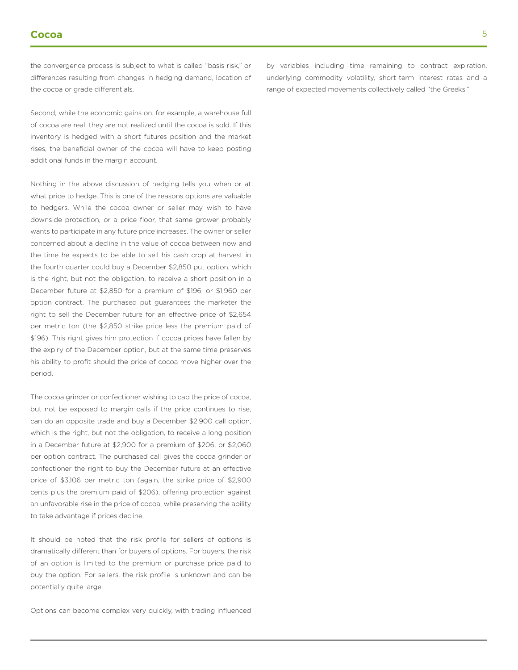the convergence process is subject to what is called "basis risk," or differences resulting from changes in hedging demand, location of the cocoa or grade differentials.

Second, while the economic gains on, for example, a warehouse full of cocoa are real, they are not realized until the cocoa is sold. If this inventory is hedged with a short futures position and the market rises, the beneficial owner of the cocoa will have to keep posting additional funds in the margin account.

Nothing in the above discussion of hedging tells you when or at what price to hedge. This is one of the reasons options are valuable to hedgers. While the cocoa owner or seller may wish to have downside protection, or a price floor, that same grower probably wants to participate in any future price increases. The owner or seller concerned about a decline in the value of cocoa between now and the time he expects to be able to sell his cash crop at harvest in the fourth quarter could buy a December \$2,850 put option, which is the right, but not the obligation, to receive a short position in a December future at \$2,850 for a premium of \$196, or \$1,960 per option contract. The purchased put guarantees the marketer the right to sell the December future for an effective price of \$2,654 per metric ton (the \$2,850 strike price less the premium paid of \$196). This right gives him protection if cocoa prices have fallen by the expiry of the December option, but at the same time preserves his ability to profit should the price of cocoa move higher over the period.

The cocoa grinder or confectioner wishing to cap the price of cocoa, but not be exposed to margin calls if the price continues to rise, can do an opposite trade and buy a December \$2,900 call option, which is the right, but not the obligation, to receive a long position in a December future at \$2,900 for a premium of \$206, or \$2,060 per option contract. The purchased call gives the cocoa grinder or confectioner the right to buy the December future at an effective price of \$3,106 per metric ton (again, the strike price of \$2,900 cents plus the premium paid of \$206), offering protection against an unfavorable rise in the price of cocoa, while preserving the ability to take advantage if prices decline.

It should be noted that the risk profile for sellers of options is dramatically different than for buyers of options. For buyers, the risk of an option is limited to the premium or purchase price paid to buy the option. For sellers, the risk profile is unknown and can be potentially quite large.

Options can become complex very quickly, with trading influenced

by variables including time remaining to contract expiration, underlying commodity volatility, short-term interest rates and a range of expected movements collectively called "the Greeks."